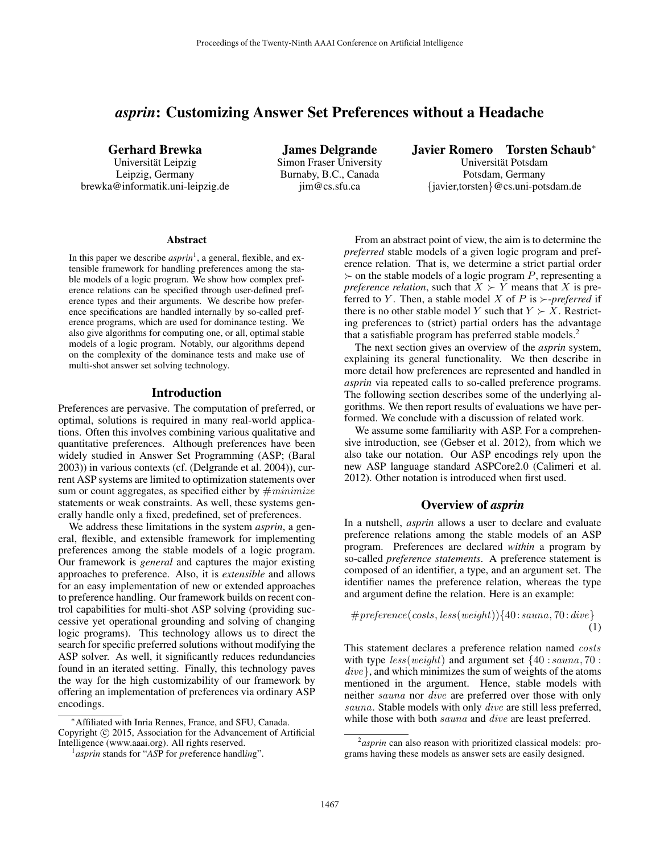# *asprin*: Customizing Answer Set Preferences without a Headache

Gerhard Brewka Universität Leipzig

Leipzig, Germany brewka@informatik.uni-leipzig.de

James Delgrande Simon Fraser University Burnaby, B.C., Canada jim@cs.sfu.ca

Javier Romero Torsten Schaub<sup>∗</sup> Universitat Potsdam ¨

Potsdam, Germany {javier,torsten}@cs.uni-potsdam.de

#### Abstract

In this paper we describe *asprin*<sup>1</sup>, a general, flexible, and extensible framework for handling preferences among the stable models of a logic program. We show how complex preference relations can be specified through user-defined preference types and their arguments. We describe how preference specifications are handled internally by so-called preference programs, which are used for dominance testing. We also give algorithms for computing one, or all, optimal stable models of a logic program. Notably, our algorithms depend on the complexity of the dominance tests and make use of multi-shot answer set solving technology.

#### Introduction

Preferences are pervasive. The computation of preferred, or optimal, solutions is required in many real-world applications. Often this involves combining various qualitative and quantitative preferences. Although preferences have been widely studied in Answer Set Programming (ASP; (Baral 2003)) in various contexts (cf. (Delgrande et al. 2004)), current ASP systems are limited to optimization statements over sum or count aggregates, as specified either by  $\#$ *minimize* statements or weak constraints. As well, these systems generally handle only a fixed, predefined, set of preferences.

We address these limitations in the system *asprin*, a general, flexible, and extensible framework for implementing preferences among the stable models of a logic program. Our framework is *general* and captures the major existing approaches to preference. Also, it is *extensible* and allows for an easy implementation of new or extended approaches to preference handling. Our framework builds on recent control capabilities for multi-shot ASP solving (providing successive yet operational grounding and solving of changing logic programs). This technology allows us to direct the search for specific preferred solutions without modifying the ASP solver. As well, it significantly reduces redundancies found in an iterated setting. Finally, this technology paves the way for the high customizability of our framework by offering an implementation of preferences via ordinary ASP encodings.

From an abstract point of view, the aim is to determine the *preferred* stable models of a given logic program and preference relation. That is, we determine a strict partial order  $\succ$  on the stable models of a logic program P, representing a *preference relation*, such that  $X \succ Y$  means that X is preferred to Y. Then, a stable model X of P is  $\succ$ -preferred if there is no other stable model Y such that  $Y \succ X$ . Restricting preferences to (strict) partial orders has the advantage that a satisfiable program has preferred stable models.<sup>2</sup>

The next section gives an overview of the *asprin* system, explaining its general functionality. We then describe in more detail how preferences are represented and handled in *asprin* via repeated calls to so-called preference programs. The following section describes some of the underlying algorithms. We then report results of evaluations we have performed. We conclude with a discussion of related work.

We assume some familiarity with ASP. For a comprehensive introduction, see (Gebser et al. 2012), from which we also take our notation. Our ASP encodings rely upon the new ASP language standard ASPCore2.0 (Calimeri et al. 2012). Other notation is introduced when first used.

## Overview of *asprin*

In a nutshell, *asprin* allows a user to declare and evaluate preference relations among the stable models of an ASP program. Preferences are declared *within* a program by so-called *preference statements*. A preference statement is composed of an identifier, a type, and an argument set. The identifier names the preference relation, whereas the type and argument define the relation. Here is an example:

$$
\# preference(costs, less(weight))\{40: sauna, 70: dive\} \tag{1}
$$

This statement declares a preference relation named costs with type  $less(weight)$  and argument set  $\{40: sauna, 70:$ dive}, and which minimizes the sum of weights of the atoms mentioned in the argument. Hence, stable models with neither sauna nor dive are preferred over those with only sauna. Stable models with only dive are still less preferred, while those with both *sauna* and *dive* are least preferred.

<sup>∗</sup>Affiliated with Inria Rennes, France, and SFU, Canada. Copyright  $\odot$  2015, Association for the Advancement of Artificial Intelligence (www.aaai.org). All rights reserved.

<sup>1</sup> *asprin* stands for "*AS*P for *pr*eference handl*in*g".

<sup>2</sup> *asprin* can also reason with prioritized classical models: programs having these models as answer sets are easily designed.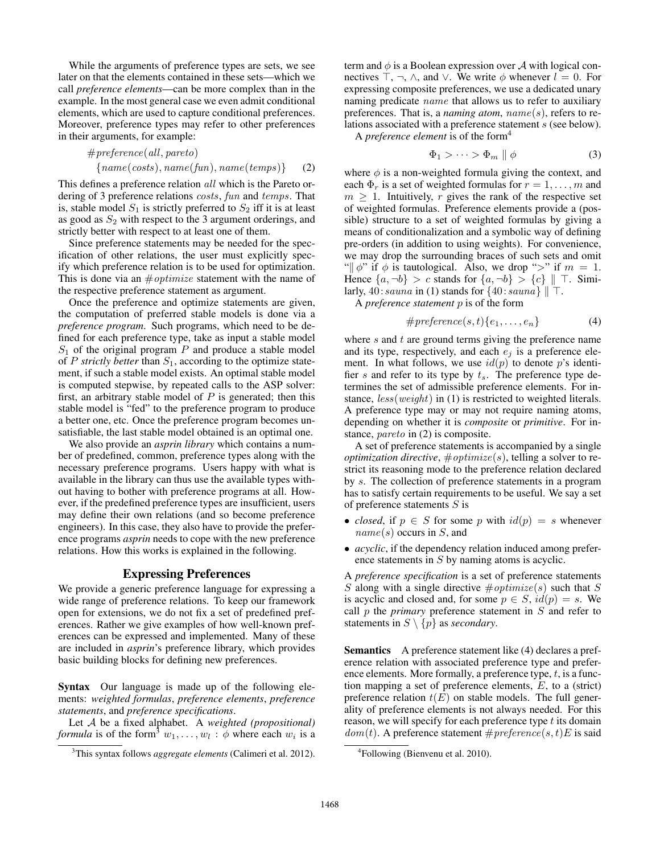While the arguments of preference types are sets, we see later on that the elements contained in these sets—which we call *preference elements*—can be more complex than in the example. In the most general case we even admit conditional elements, which are used to capture conditional preferences. Moreover, preference types may refer to other preferences in their arguments, for example:

$$
\# preference(\text{all}, \text{parent}) \\
 \{name(costs), name(\text{fun}), name(\text{temps})\} \tag{2}
$$

This defines a preference relation all which is the Pareto ordering of 3 preference relations costs, fun and temps. That is, stable model  $S_1$  is strictly preferred to  $S_2$  iff it is at least as good as  $S_2$  with respect to the 3 argument orderings, and strictly better with respect to at least one of them.

Since preference statements may be needed for the specification of other relations, the user must explicitly specify which preference relation is to be used for optimization. This is done via an  $\#$ *optimize* statement with the name of the respective preference statement as argument.

Once the preference and optimize statements are given, the computation of preferred stable models is done via a *preference program*. Such programs, which need to be defined for each preference type, take as input a stable model  $S_1$  of the original program P and produce a stable model of P *strictly better* than  $S_1$ , according to the optimize statement, if such a stable model exists. An optimal stable model is computed stepwise, by repeated calls to the ASP solver: first, an arbitrary stable model of  $P$  is generated; then this stable model is "fed" to the preference program to produce a better one, etc. Once the preference program becomes unsatisfiable, the last stable model obtained is an optimal one.

We also provide an *asprin library* which contains a number of predefined, common, preference types along with the necessary preference programs. Users happy with what is available in the library can thus use the available types without having to bother with preference programs at all. However, if the predefined preference types are insufficient, users may define their own relations (and so become preference engineers). In this case, they also have to provide the preference programs *asprin* needs to cope with the new preference relations. How this works is explained in the following.

### Expressing Preferences

We provide a generic preference language for expressing a wide range of preference relations. To keep our framework open for extensions, we do not fix a set of predefined preferences. Rather we give examples of how well-known preferences can be expressed and implemented. Many of these are included in *asprin*'s preference library, which provides basic building blocks for defining new preferences.

Syntax Our language is made up of the following elements: *weighted formulas*, *preference elements*, *preference statements*, and *preference specifications*.

Let A be a fixed alphabet. A *weighted (propositional) formula* is of the form<sup>3</sup>  $w_1, \ldots, w_l : \phi$  where each  $w_i$  is a

term and  $\phi$  is a Boolean expression over A with logical connectives  $\top$ ,  $\neg$ ,  $\wedge$ , and  $\vee$ . We write  $\phi$  whenever  $l = 0$ . For expressing composite preferences, we use a dedicated unary naming predicate *name* that allows us to refer to auxiliary preferences. That is, a *naming atom*, name(s), refers to relations associated with a preference statement s (see below).

A *preference element* is of the form<sup>4</sup>

$$
\Phi_1 > \cdots > \Phi_m \parallel \phi \tag{3}
$$

where  $\phi$  is a non-weighted formula giving the context, and each  $\Phi_r$  is a set of weighted formulas for  $r = 1, \ldots, m$  and  $m \geq 1$ . Intuitively, r gives the rank of the respective set of weighted formulas. Preference elements provide a (possible) structure to a set of weighted formulas by giving a means of conditionalization and a symbolic way of defining pre-orders (in addition to using weights). For convenience, we may drop the surrounding braces of such sets and omit " $\psi$ " if  $\phi$  is tautological. Also, we drop ">" if  $m = 1$ . Hence  $\{a, \neg b\} > c$  stands for  $\{a, \neg b\} > \{c\} \parallel \top$ . Similarly,  $40: \text{sauna in (1) stands for } \{40: \text{sauna} \} \parallel \top.$ 

A *preference statement* p is of the form

$$
\# preference(s, t) \{e_1, \ldots, e_n\} \tag{4}
$$

where  $s$  and  $t$  are ground terms giving the preference name and its type, respectively, and each  $e_i$  is a preference element. In what follows, we use  $id(p)$  to denote p's identifier s and refer to its type by  $t_s$ . The preference type determines the set of admissible preference elements. For instance,  $less(weight)$  in (1) is restricted to weighted literals. A preference type may or may not require naming atoms, depending on whether it is *composite* or *primitive*. For instance, *pareto* in (2) is composite.

A set of preference statements is accompanied by a single *optimization directive*,  $\#$ *optimize*(s), telling a solver to restrict its reasoning mode to the preference relation declared by s. The collection of preference statements in a program has to satisfy certain requirements to be useful. We say a set of preference statements  $S$  is

- *closed*, if  $p \in S$  for some p with  $id(p) = s$  whenever  $name(s)$  occurs in S, and
- *acyclic*, if the dependency relation induced among preference statements in S by naming atoms is acyclic.

A *preference specification* is a set of preference statements S along with a single directive  $\# \text{ optimize}(s)$  such that S is acyclic and closed and, for some  $p \in S$ ,  $id(p) = s$ . We call p the *primary* preference statement in S and refer to statements in  $S \setminus \{p\}$  as *secondary*.

Semantics A preference statement like (4) declares a preference relation with associated preference type and preference elements. More formally, a preference type,  $t$ , is a function mapping a set of preference elements, E, to a (strict) preference relation  $t(E)$  on stable models. The full generality of preference elements is not always needed. For this reason, we will specify for each preference type  $t$  its domain  $dom(t)$ . A preference statement  $\# preference(s, t)E$  is said

<sup>3</sup>This syntax follows *aggregate elements* (Calimeri et al. 2012).

<sup>&</sup>lt;sup>4</sup>Following (Bienvenu et al. 2010).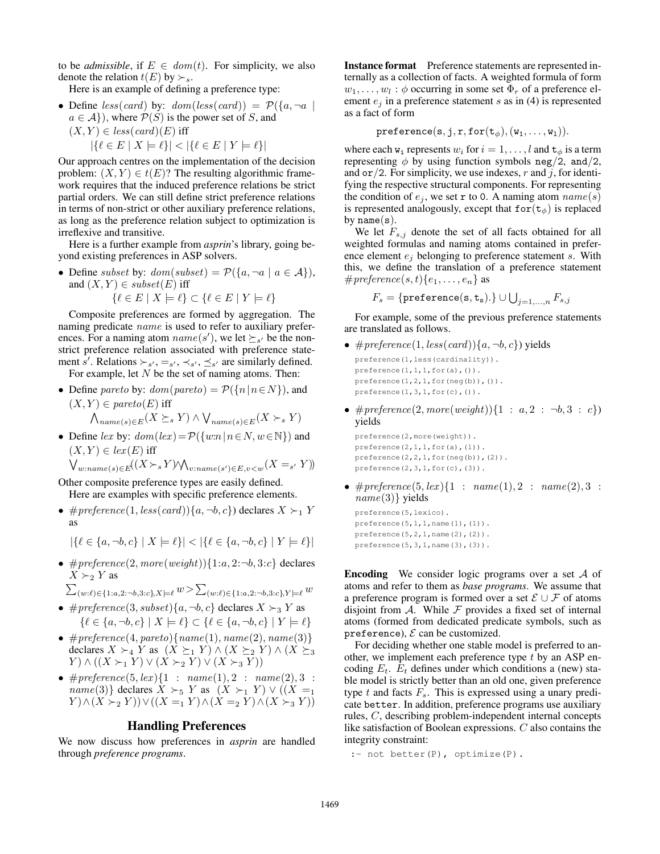to be *admissible*, if  $E \in dom(t)$ . For simplicity, we also denote the relation  $t(E)$  by  $\succ_s$ .

Here is an example of defining a preference type:

- Define less(card) by:  $dom(less(card)) = P({a, \neg a \mid})$  $a \in \mathcal{A}$ , where  $\mathcal{P}(S)$  is the power set of S, and  $(X, Y) \in less(card)(E)$  iff
	- $|\{\ell \in E \mid X \models \ell\}| < |\{\ell \in E \mid Y \models \ell\}|$

Our approach centres on the implementation of the decision problem:  $(X, Y) \in t(E)$ ? The resulting algorithmic framework requires that the induced preference relations be strict partial orders. We can still define strict preference relations in terms of non-strict or other auxiliary preference relations, as long as the preference relation subject to optimization is irreflexive and transitive.

Here is a further example from *asprin*'s library, going beyond existing preferences in ASP solvers.

• Define subset by:  $dom(subset) = P({a, \neg a \mid a \in A}),$ and  $(X, Y) \in subset(E)$  iff  $\{\ell \in E \mid X \models \ell\} \subset \{\ell \in E \mid Y \models \ell\}$ 

Composite preferences are formed by aggregation. The naming predicate *name* is used to refer to auxiliary preferences. For a naming atom  $name(s')$ , we let  $\succeq_{s'}$  be the nonstrict preference relation associated with preference statement s'. Relations  $\succ_{s'}$ ,  $=_s'$ ,  $\prec_{s'}$ ,  $\preceq_{s'}$  are similarly defined. For example, let  $N$  be the set of naming atoms. Then:

- Define pareto by:  $dom(pareto) = \mathcal{P}(\{n \mid n \in N\})$ , and  $(X, Y) \in \text{pareto}(E)$  iff  $\bigwedge_{name(s)\in E}(X \succeq_s Y) \wedge \bigvee_{name(s)\in E}(X \succ_s Y)$
- Define lex by:  $dom(lex) = P({w:n | n \in N, w \in \mathbb{N}})$  and  $(X, Y) \in lex(E)$  iff

$$
\bigvee\nolimits_{w:name(s)\in E}((X\succ_{s}Y)\wedge\bigwedge_{v:name(s')\in E, v
$$

Other composite preference types are easily defined. Here are examples with specific preference elements.

•  $\# preference(1, less(card))\{a, \neg b, c\})$  declares  $X \succ_1 Y$ as

$$
|\{\ell \in \{a, \neg b, c\} \mid X \models \ell\}| < |\{\ell \in \{a, \neg b, c\} \mid Y \models \ell\}|
$$

•  $\# preference(2, more(weight))\{1:a, 2:\neg b, 3:c\}$  declares  $X \succ_2 Y$  as

 $\sum_{(w:\ell) \in \{1:a,2:-b,3:c\}, X \models \ell} w > \sum_{(w:\ell) \in \{1:a,2:-b,3:c\}, Y \models \ell} w$ 

- $\# preference(3, subset) \{a, \neg b, c\}$  declares  $X \succ_3 Y$  as  $\{\ell \in \{a, \neg b, c\} \mid X \models \ell\} \subset \{\ell \in \{a, \neg b, c\} \mid Y \models \ell\}$
- $\# preference(4, pareto) \{ name(1), name(2), name(3) \}$ declares  $X \succ_4 Y$  as  $(X \succeq_1 Y) \wedge (X \succeq_2 Y) \wedge (X \succeq_3 Y)$  $Y) \wedge ((X \succ_1 Y) \vee (X \succ_2 Y) \vee (X \succ_3 Y))$
- $\# preference(5, lex) \{1 : name(1), 2 : name(2), 3 :$  $name(3)$  declares  $X \succ_5 Y$  as  $(X \succ_1 Y) \vee ((X =_1$  $(Y) \wedge (X \succ_2 Y)) \vee ((X =_1 Y) \wedge (X =_2 Y) \wedge (X \succ_3 Y))$

### Handling Preferences

We now discuss how preferences in *asprin* are handled through *preference programs*.

Instance format Preference statements are represented internally as a collection of facts. A weighted formula of form  $w_1, \ldots, w_l : \phi$  occurring in some set  $\Phi_r$  of a preference element  $e_i$  in a preference statement s as in (4) is represented as a fact of form

$$
\mathtt{preference}(\mathtt{s},\mathtt{j},\mathtt{r},\mathtt{for}(\mathtt{t}_{\phi}),(\mathtt{w}_{\mathtt{1}},\ldots,\mathtt{w}_{\mathtt{l}})).
$$

where each  $w_i$  represents  $w_i$  for  $i = 1, \ldots, l$  and  $\mathbf{t}_{\phi}$  is a term representing  $\phi$  by using function symbols neg/2, and/2, and  $\sigma r/2$ . For simplicity, we use indexes, r and j, for identifying the respective structural components. For representing the condition of  $e_i$ , we set r to 0. A naming atom  $name(s)$ is represented analogously, except that  $for(t_{\phi})$  is replaced by  $name(s)$ .

We let  $F_{s,j}$  denote the set of all facts obtained for all weighted formulas and naming atoms contained in preference element  $e_i$  belonging to preference statement s. With this, we define the translation of a preference statement # preference  $(s, t)$  { $e_1, \ldots, e_n$ } as

$$
F_s = \{\texttt{preference}(\mathbf{s}, \mathbf{t_s}).\} \cup \bigcup\nolimits_{j=1,...,n} F_{s,j}
$$

For example, some of the previous preference statements are translated as follows.

•  $\# preference(1, less(card))\{a, \neg b, c\})$  yields preference(1,less(cardinality)). preference $(1,1,1,f$ or $(a)$ , $()$ ).

preference(1,2,1,for(neg(b)),()).

- preference $(1,3,1,f$ or $(c)$ , $()$ .
- $\# preference(2, more(weight))\{1 : a, 2 : \neg b, 3 : c\})$ yields

preference(2,more(weight)). preference $(2, 1, 1,$  for $(a)$ , $(1)$ ). preference(2,2,1,for(neg(b)),(2)). preference $(2,3,1,f$ or $(c)$ , $(3)$ ).

•  $\# preference(5, lex) \{1 : name(1), 2 : name(2), 3 :$  $name(3)$ } yields

```
preference(5,lexico).
preference(5,1,1,name(1),(1)).
preference(5,2,1,name(2),(2)).
preference(5,3,1,name(3),(3)).
```
Encoding We consider logic programs over a set A of atoms and refer to them as *base programs*. We assume that a preference program is formed over a set  $\mathcal{E} \cup \mathcal{F}$  of atoms disjoint from  $A$ . While  $F$  provides a fixed set of internal atoms (formed from dedicated predicate symbols, such as preference),  $\mathcal E$  can be customized.

For deciding whether one stable model is preferred to another, we implement each preference type  $t$  by an ASP encoding  $E_t$ .  $E_t$  defines under which conditions a (new) stable model is strictly better than an old one, given preference type  $t$  and facts  $F_s$ . This is expressed using a unary predicate better. In addition, preference programs use auxiliary rules, C, describing problem-independent internal concepts like satisfaction of Boolean expressions. C also contains the integrity constraint:

:- not better(P), optimize(P).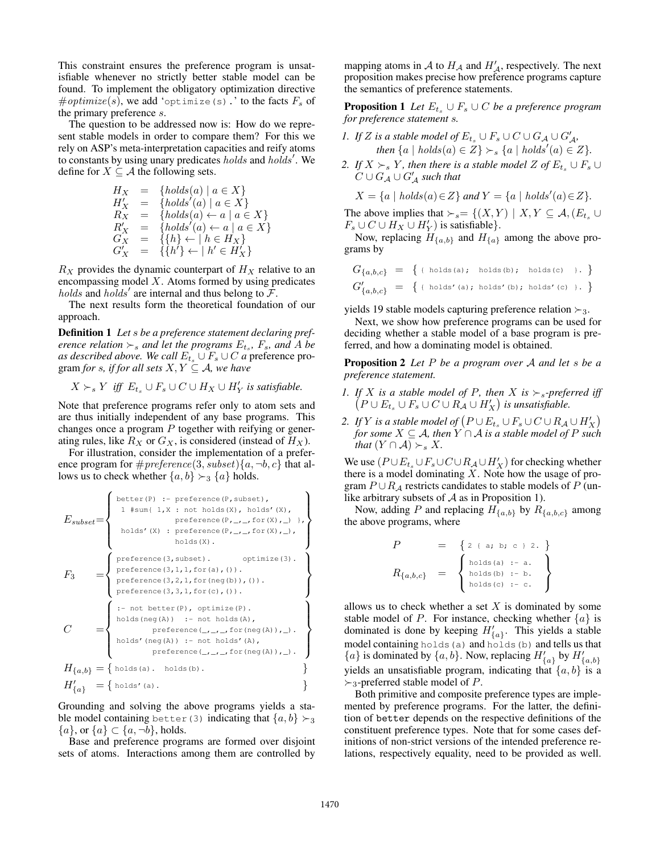This constraint ensures the preference program is unsatisfiable whenever no strictly better stable model can be found. To implement the obligatory optimization directive  $\# \mathit{optimize}(s),$  we add 'optimize(s).' to the facts  $F_s$  of the primary preference s.

The question to be addressed now is: How do we represent stable models in order to compare them? For this we rely on ASP's meta-interpretation capacities and reify atoms to constants by using unary predicates holds and holds'. We define for  $X \subseteq \mathcal{A}$  the following sets.

$$
H_X = \{ holds(a) | a \in X \}
$$
  
\n
$$
H'_X = \{ holds'(a) | a \in X \}
$$
  
\n
$$
R'_X = \{ holds(a) \leftarrow a | a \in X \}
$$
  
\n
$$
R'_X = \{ holds'(a) \leftarrow a | a \in X \}
$$
  
\n
$$
G'_X = \{ \{ h \} \leftarrow | h \in H_X \}
$$
  
\n
$$
G'_X = \{ \{ h' \} \leftarrow | h' \in H'_X \}
$$

 $R_X$  provides the dynamic counterpart of  $H_X$  relative to an encompassing model  $X$ . Atoms formed by using predicates holds and holds' are internal and thus belong to  $\overline{\mathcal{F}}$ .

The next results form the theoretical foundation of our approach.

Definition 1 *Let* s *be a preference statement declaring preference relation*  $\succ$ <sub>*s*</sub> and let the programs  $E$ <sub>t<sub>s</sub></sub>,  $F$ <sub>s</sub>, and A be *as described above. We call*  $E_t$ <sub>s</sub> ∪  $F_s$  ∪  $C$  *a* preference program *for* s, if for all sets  $X, Y \subseteq A$ , we have

 $X \succ_s Y$  iff  $E_{t_s} \cup F_s \cup C \cup H_X \cup H_Y'$  is satisfiable.

Note that preference programs refer only to atom sets and are thus initially independent of any base programs. This changes once a program  $P$  together with reifying or generating rules, like  $R_X$  or  $G_X$ , is considered (instead of  $H_X$ ).

For illustration, consider the implementation of a preference program for  $\# preference(3, subset){a, \neg b, c}$  that allows us to check whether  $\{a, b\} \succ_3 \{a\}$  holds.

$$
F_{subset} = \left\{ \begin{array}{ll} \text{better(P)} : \text{ preference}(P, subset), \\ 1 \text{ {sum\{1,X \text{ }}}, not holds(X), holds'(X), \\ \text{ preference}(P, _-, f \text{ or } (X), _-) \}, \\ \text{ holds}(X) : \text{ preference}(P, _-, f \text{ or } (X), _-), \\ \text{ holds}(X) : \text{ preference}(P, _-, f \text{ or } (X), _-), \\ \text{ holds}(X) : \text{ preference}(P, _-, f \text{ or } (X), _-), \\ \text{models}(X) : \text{ preference}(X), \\ \text{preference}(X), \\ \text{preference}(X), \\ \text{preference}(X), \\ \text{preference}(X), \\ \text{in } (X), \\ \text{preference}(X), \\ \text{in } (X), \\ \text{in } (X), \\ \text{in } (X), \\ \text{in } (X), \\ \text{in } (X), \\ \text{in } (X), \\ \text{in } (X), \\ \text{in } (X), \\ \text{in } (X), \\ \text{in } (X), \\ \text{in } (X), \\ \text{in } (X), \\ \text{in } (X), \\ \text{in } (X), \\ \text{in } (X), \\ \text{in } (X), \\ \text{in } (X), \\ \text{in } (X), \\ \text{in } (X), \\ \text{in } (X), \\ \text{in } (X), \\ \text{in } (X), \\ \text{in } (X), \\ \text{in } (X), \\ \text{in } (X), \\ \text{in } (X), \\ \text{in } (X), \\ \text{in } (X), \\ \text{in } (X), \\ \text{in } (X), \\ \text{in } (X), \\ \text{in } (X), \\ \text{in } (X), \\ \text{in } (X), \\ \text{in } (X), \\ \text{in } (X), \\ \text{in } (X), \\ \text{in } (X), \\ \text{in } (X), \\ \text{in } (X), \\ \text{in } (X), \\ \text{in } (X), \\ \text{in } (X), \\ \text{in } (X), \\ \text{in } (X), \\ \text{in } (X), \\ \text{in } (X), \\ \text{in } (X), \\ \text{in } (X), \\ \text{in } (X), \\ \text{in } (X), \\ \text{in } (X), \\ \text{in } (X), \\ \text{in } (X), \\ \text{in } (X), \\ \text{in } (X), \\ \text{in } (X), \\ \text{
$$

Grounding and solving the above programs yields a stable model containing better (3) indicating that  $\{a, b\} \succ_3$  ${a}$ , or  ${a} \subset {a, \neg b}$ , holds.

Base and preference programs are formed over disjoint sets of atoms. Interactions among them are controlled by

mapping atoms in A to  $H_{\mathcal{A}}$  and  $H'_{\mathcal{A}}$ , respectively. The next proposition makes precise how preference programs capture the semantics of preference statements.

**Proposition 1** *Let*  $E_t$ ,  $\cup$   $F_s$   $\cup$   $C$  *be a preference program for preference statement* s*.*

1. If Z is a stable model of 
$$
E_{t_s} \cup F_s \cup C \cup G_A \cup G'_A
$$
,  
then  $\{a \mid holds(a) \in Z\} \succ_s \{a \mid holds'(a) \in Z\}$ .

*2. If*  $X \succ_s Y$ *, then there is a stable model*  $Z$  *of*  $E_{t_s} \cup F_s \cup$  $C \cup G_{\mathcal{A}} \cup G_{\mathcal{A}}'$  such that

$$
X = \{a \mid holds(a) \in Z\} \text{ and } Y = \{a \mid holds'(a) \in Z\}.
$$

The above implies that  $\succ_s = \{(X, Y) | X, Y \subseteq \mathcal{A}, (E_{t_s} \cup$  $F_s \cup C \cup H_X \cup H_Y'$  is satisfiable}.

Now, replacing  $H_{\{a,b\}}$  and  $H_{\{a\}}$  among the above programs by

$$
G_{\{a,b,c\}} = \{ \text{ (holds (a); holds (b); holds (c) } \}, \}
$$
  

$$
G'_{\{a,b,c\}} = \{ \text{ (holds (a); holds (b); holds (c) } \}, \}
$$

yields 19 stable models capturing preference relation  $\succ_3$ .

Next, we show how preference programs can be used for deciding whether a stable model of a base program is preferred, and how a dominating model is obtained.

Proposition 2 *Let* P *be a program over* A *and let* s *be a preference statement.*

- *1. If* X *is a stable model of* P, then X *is*  $\succ s$ -preferred iff  $(P \cup E_{t_s} \cup F_s \cup C \cup R_A \cup H_X')$  is unsatisfiable.
- 2. If Y is a stable model of  $(P \cup E_{t_s} \cup F_s \cup C \cup R_{\mathcal{A}} \cup H_X')$ *for some*  $X \subseteq A$ *, then*  $Y \cap A$  *is a stable model of*  $P$  *such that*  $(Y \cap A) \succ_s X$ .

We use  $(P \cup E_t \cup F_s \cup C \cup R_A \cup H'_X)$  for checking whether there is a model dominating  $X$ . Note how the usage of program  $P \cup R_A$  restricts candidates to stable models of P (unlike arbitrary subsets of  $A$  as in Proposition 1).

Now, adding P and replacing  $H_{\{a,b\}}$  by  $R_{\{a,b,c\}}$  among the above programs, where

$$
P = \{ 2 \{ a, b, c \} 2. \}
$$
  

$$
R_{\{a,b,c\}} = \left\{ \begin{array}{l} \text{holds (a) : -a.} \\ \text{holds (b) : -b.} \\ \text{holds (c) : -c.} \end{array} \right\}
$$

allows us to check whether a set  $X$  is dominated by some stable model of P. For instance, checking whether  $\{a\}$  is dominated is done by keeping  $H'_{\{a\}}$ . This yields a stable model containing holds(a) and holds(b) and tells us that  ${a}$  is dominated by  ${a,b}$ . Now, replacing  $H'_{\{a\}}$  by  $H'_{\{a,b\}}$ yields an unsatisfiable program, indicating that  $\{a, b\}$  is a  $\succ_3$ -preferred stable model of P.

Both primitive and composite preference types are implemented by preference programs. For the latter, the definition of better depends on the respective definitions of the constituent preference types. Note that for some cases definitions of non-strict versions of the intended preference relations, respectively equality, need to be provided as well.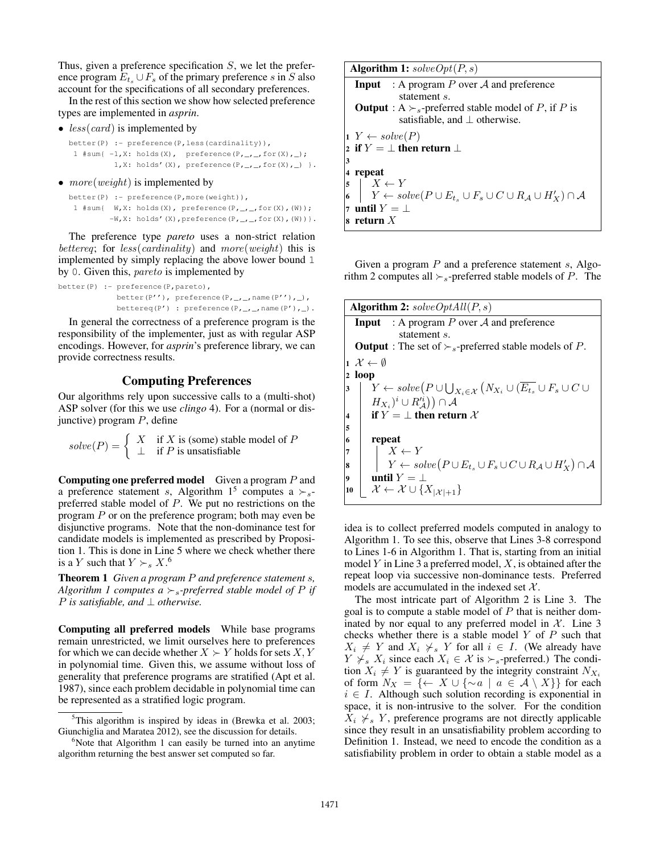Thus, given a preference specification  $S$ , we let the preference program  $E_t \cup F_s$  of the primary preference s in S also account for the specifications of all secondary preferences.

In the rest of this section we show how selected preference types are implemented in *asprin*.

•  $less(card)$  is implemented by

better(P) :- preference(P, less(cardinality)), 1 #sum{ $-1$ ,X: holds(X), preference(P,\_,\_,for(X),\_); 1, X: holds'(X), preference(P, \_, \_, for(X), \_) }.

•  $more(weight)$  is implemented by

```
better(P) :- preference(P,more(weight)),
 1 #sum{ W_rX: holds(X), preference(P,_,_,for(X),(W));
         -W, X: holds'(X), preference(P, _, _, for(X),(W))}.
```
The preference type *pareto* uses a non-strict relation bettereq; for  $less(cardinality)$  and  $more(weight)$  this is implemented by simply replacing the above lower bound 1 by 0. Given this, *pareto* is implemented by

```
better(P) :- preference(P,pareto),
            better(P''), preference(P,_,_,name(P''),_),
             bettereq(P') : preference(P,_,_,name(P'),_).
```
In general the correctness of a preference program is the responsibility of the implementer, just as with regular ASP encodings. However, for *asprin*'s preference library, we can provide correctness results.

## Computing Preferences

Our algorithms rely upon successive calls to a (multi-shot) ASP solver (for this we use *clingo* 4). For a (normal or disjunctive) program  $P$ , define

$$
solve(P) = \begin{cases} X & \text{if } X \text{ is (some) stable model of } P \\ \perp & \text{if } P \text{ is unsatisfiable} \end{cases}
$$

**Computing one preferred model** Given a program  $P$  and a preference statement s, Algorithm 1<sup>5</sup> computes a  $\succ_s$ preferred stable model of P. We put no restrictions on the program P or on the preference program; both may even be disjunctive programs. Note that the non-dominance test for candidate models is implemented as prescribed by Proposition 1. This is done in Line 5 where we check whether there is a Y such that  $Y \succ_s X$ .<sup>6</sup>

Theorem 1 *Given a program* P *and preference statement* s*, Algorithm 1 computes a*  $\succ$ <sub>s</sub>-preferred stable model of P if P *is satisfiable, and* ⊥ *otherwise.*

Computing all preferred models While base programs remain unrestricted, we limit ourselves here to preferences for which we can decide whether  $X \succ Y$  holds for sets  $X, Y$ in polynomial time. Given this, we assume without loss of generality that preference programs are stratified (Apt et al. 1987), since each problem decidable in polynomial time can be represented as a stratified logic program.

| <b>Algorithm 1:</b> $solveOpt(P, s)$                                                                       |  |  |  |  |  |  |  |  |
|------------------------------------------------------------------------------------------------------------|--|--|--|--|--|--|--|--|
| <b>Input</b> : A program P over A and preference                                                           |  |  |  |  |  |  |  |  |
| statement s.                                                                                               |  |  |  |  |  |  |  |  |
| <b>Output</b> : A $\succ$ <sub>s</sub> -preferred stable model of P, if P is                               |  |  |  |  |  |  |  |  |
| satisfiable, and $\perp$ otherwise.                                                                        |  |  |  |  |  |  |  |  |
| $1 \ Y \leftarrow solve(P)$                                                                                |  |  |  |  |  |  |  |  |
| 2 if $Y = \perp$ then return $\perp$                                                                       |  |  |  |  |  |  |  |  |
| 3                                                                                                          |  |  |  |  |  |  |  |  |
| 4 repeat                                                                                                   |  |  |  |  |  |  |  |  |
| $\mid X \leftarrow Y$<br>5                                                                                 |  |  |  |  |  |  |  |  |
| $\vert Y \leftarrow solve(P \cup E_{t_s} \cup F_s \cup C \cup R_{\mathcal{A}} \cup H'_X) \cap \mathcal{A}$ |  |  |  |  |  |  |  |  |
| until $Y = \perp$<br>7                                                                                     |  |  |  |  |  |  |  |  |
| return $X$                                                                                                 |  |  |  |  |  |  |  |  |

Given a program  $P$  and a preference statement s, Algorithm 2 computes all  $\succ$ <sub>s</sub>-preferred stable models of P. The

| <b>Algorithm 2:</b> $solveOptAll(P, s)$                                                                               |  |  |  |  |  |  |  |  |
|-----------------------------------------------------------------------------------------------------------------------|--|--|--|--|--|--|--|--|
| <b>Input</b> : A program P over A and preference                                                                      |  |  |  |  |  |  |  |  |
| statement s.                                                                                                          |  |  |  |  |  |  |  |  |
| <b>Output</b> : The set of $\succ$ <sub>s</sub> -preferred stable models of P.                                        |  |  |  |  |  |  |  |  |
| $1 \mathcal{X} \leftarrow \emptyset$                                                                                  |  |  |  |  |  |  |  |  |
| $2 \log p$                                                                                                            |  |  |  |  |  |  |  |  |
| $Y \leftarrow solve(P \cup \bigcup_{X_i \in \mathcal{X}} (N_{X_i} \cup (\overline{E_{t_s}} \cup F_s \cup C \cup$<br>3 |  |  |  |  |  |  |  |  |
| $(H_{X_i})^i\cup R'^i_A))\cap A$                                                                                      |  |  |  |  |  |  |  |  |
| if $Y = \perp$ then return X<br>$\overline{\mathbf{4}}$                                                               |  |  |  |  |  |  |  |  |
| 5                                                                                                                     |  |  |  |  |  |  |  |  |
| repeat<br>6                                                                                                           |  |  |  |  |  |  |  |  |
| $X \leftarrow Y$<br>7                                                                                                 |  |  |  |  |  |  |  |  |
| $Y \leftarrow solve(P \cup E_t, \cup F_s \cup C \cup R_{\mathcal{A}} \cup H'_X) \cap \mathcal{A}$<br>8                |  |  |  |  |  |  |  |  |
| until $Y = \perp$<br>9                                                                                                |  |  |  |  |  |  |  |  |
| $\mathcal{X} \leftarrow \mathcal{X} \cup \{X_{ \mathcal{X} +1}\}$<br>10                                               |  |  |  |  |  |  |  |  |

idea is to collect preferred models computed in analogy to Algorithm 1. To see this, observe that Lines 3-8 correspond to Lines 1-6 in Algorithm 1. That is, starting from an initial model  $Y$  in Line 3 a preferred model,  $X$ , is obtained after the repeat loop via successive non-dominance tests. Preferred models are accumulated in the indexed set  $X$ .

The most intricate part of Algorithm 2 is Line 3. The goal is to compute a stable model of  $P$  that is neither dominated by nor equal to any preferred model in  $X$ . Line 3 checks whether there is a stable model  $Y$  of  $P$  such that  $X_i \neq Y$  and  $X_i \neq s$  Y for all  $i \in I$ . (We already have  $Y \nless_{s} X_i$  since each  $X_i \in \mathcal{X}$  is  $\succ_{s}$ -preferred.) The condition  $X_i \neq Y$  is guaranteed by the integrity constraint  $N_{X_i}$ of form  $N_X = \{ \leftarrow X \cup \{ \sim a \mid a \in \mathcal{A} \setminus X \} \}$  for each  $i \in I$ . Although such solution recording is exponential in space, it is non-intrusive to the solver. For the condition  $X_i \nless s Y$ , preference programs are not directly applicable since they result in an unsatisfiability problem according to Definition 1. Instead, we need to encode the condition as a satisfiability problem in order to obtain a stable model as a

 $5$ This algorithm is inspired by ideas in (Brewka et al. 2003; Giunchiglia and Maratea 2012), see the discussion for details.

 $6$ Note that Algorithm 1 can easily be turned into an anytime algorithm returning the best answer set computed so far.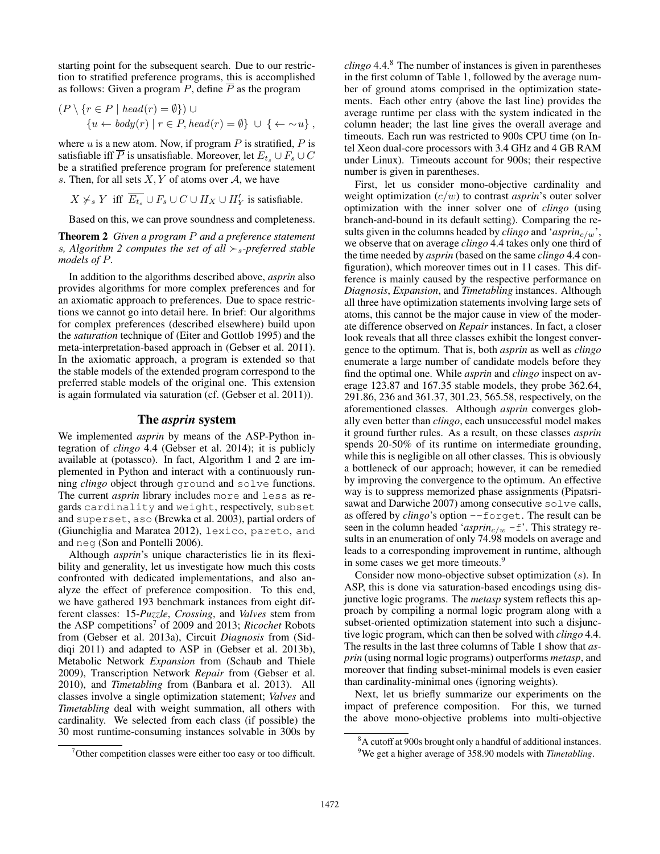starting point for the subsequent search. Due to our restriction to stratified preference programs, this is accomplished as follows: Given a program  $P$ , define  $\overline{P}$  as the program

$$
(P \setminus \{r \in P \mid head(r) = \emptyset\}) \cup \{u \leftarrow body(r) \mid r \in P, head(r) = \emptyset\} \cup \{\leftarrow \sim u\},
$$

where  $u$  is a new atom. Now, if program  $P$  is stratified,  $P$  is satisfiable iff  $\overline{P}$  is unsatisfiable. Moreover, let  $E_t \cup F_s \cup C$ be a stratified preference program for preference statement s. Then, for all sets  $X, Y$  of atoms over A, we have

$$
X \not \succ_s Y \text{ iff } \overline{E_{t_s}} \cup F_s \cup C \cup H_X \cup H_Y' \text{ is satisfiable.}
$$

Based on this, we can prove soundness and completeness.

Theorem 2 *Given a program* P *and a preference statement s*, Algorithm 2 computes the set of all  $\succ_s$ -preferred stable *models of* P*.*

In addition to the algorithms described above, *asprin* also provides algorithms for more complex preferences and for an axiomatic approach to preferences. Due to space restrictions we cannot go into detail here. In brief: Our algorithms for complex preferences (described elsewhere) build upon the *saturation* technique of (Eiter and Gottlob 1995) and the meta-interpretation-based approach in (Gebser et al. 2011). In the axiomatic approach, a program is extended so that the stable models of the extended program correspond to the preferred stable models of the original one. This extension is again formulated via saturation (cf. (Gebser et al. 2011)).

### The *asprin* system

We implemented *asprin* by means of the ASP-Python integration of *clingo* 4.4 (Gebser et al. 2014); it is publicly available at (potassco). In fact, Algorithm 1 and 2 are implemented in Python and interact with a continuously running *clingo* object through ground and solve functions. The current *asprin* library includes more and less as regards cardinality and weight, respectively, subset and superset, aso (Brewka et al. 2003), partial orders of (Giunchiglia and Maratea 2012), lexico, pareto, and and neg (Son and Pontelli 2006).

Although *asprin*'s unique characteristics lie in its flexibility and generality, let us investigate how much this costs confronted with dedicated implementations, and also analyze the effect of preference composition. To this end, we have gathered 193 benchmark instances from eight different classes: 15-*Puzzle*, *Crossing*, and *Valves* stem from the ASP competitions<sup>7</sup> of 2009 and 2013; *Ricochet* Robots from (Gebser et al. 2013a), Circuit *Diagnosis* from (Siddiqi 2011) and adapted to ASP in (Gebser et al. 2013b), Metabolic Network *Expansion* from (Schaub and Thiele 2009), Transcription Network *Repair* from (Gebser et al. 2010), and *Timetabling* from (Banbara et al. 2013). All classes involve a single optimization statement; *Valves* and *Timetabling* deal with weight summation, all others with cardinality. We selected from each class (if possible) the 30 most runtime-consuming instances solvable in 300s by

*clingo* 4.4.<sup>8</sup> The number of instances is given in parentheses in the first column of Table 1, followed by the average number of ground atoms comprised in the optimization statements. Each other entry (above the last line) provides the average runtime per class with the system indicated in the column header; the last line gives the overall average and timeouts. Each run was restricted to 900s CPU time (on Intel Xeon dual-core processors with 3.4 GHz and 4 GB RAM under Linux). Timeouts account for 900s; their respective number is given in parentheses.

First, let us consider mono-objective cardinality and weight optimization (c/w) to contrast *asprin*'s outer solver optimization with the inner solver one of *clingo* (using branch-and-bound in its default setting). Comparing the results given in the columns headed by *clingo* and ' $asprin<sub>c/w</sub>$ ', we observe that on average *clingo* 4.4 takes only one third of the time needed by *asprin* (based on the same *clingo* 4.4 configuration), which moreover times out in 11 cases. This difference is mainly caused by the respective performance on *Diagnosis*, *Expansion*, and *Timetabling* instances. Although all three have optimization statements involving large sets of atoms, this cannot be the major cause in view of the moderate difference observed on *Repair* instances. In fact, a closer look reveals that all three classes exhibit the longest convergence to the optimum. That is, both *asprin* as well as *clingo* enumerate a large number of candidate models before they find the optimal one. While *asprin* and *clingo* inspect on average 123.87 and 167.35 stable models, they probe 362.64, 291.86, 236 and 361.37, 301.23, 565.58, respectively, on the aforementioned classes. Although *asprin* converges globally even better than *clingo*, each unsuccessful model makes it ground further rules. As a result, on these classes *asprin* spends 20-50% of its runtime on intermediate grounding, while this is negligible on all other classes. This is obviously a bottleneck of our approach; however, it can be remedied by improving the convergence to the optimum. An effective way is to suppress memorized phase assignments (Pipatsrisawat and Darwiche 2007) among consecutive solve calls, as offered by *clingo*'s option --forget. The result can be seen in the column headed '*asprin<sub>c/w</sub>* -f'. This strategy results in an enumeration of only 74.98 models on average and leads to a corresponding improvement in runtime, although in some cases we get more timeouts.<sup>9</sup>

Consider now mono-objective subset optimization (s). In ASP, this is done via saturation-based encodings using disjunctive logic programs. The *metasp* system reflects this approach by compiling a normal logic program along with a subset-oriented optimization statement into such a disjunctive logic program, which can then be solved with *clingo* 4.4. The results in the last three columns of Table 1 show that *asprin* (using normal logic programs) outperforms *metasp*, and moreover that finding subset-minimal models is even easier than cardinality-minimal ones (ignoring weights).

Next, let us briefly summarize our experiments on the impact of preference composition. For this, we turned the above mono-objective problems into multi-objective

 $7$ Other competition classes were either too easy or too difficult.

<sup>8</sup>A cutoff at 900s brought only a handful of additional instances. <sup>9</sup>We get a higher average of 358.90 models with *Timetabling*.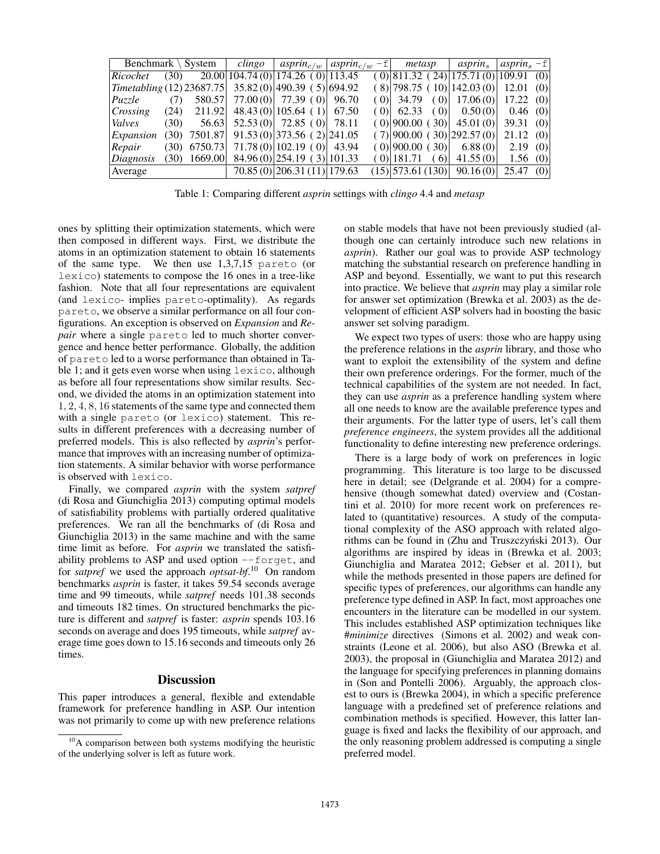| Benchmark $\setminus$ System              |      | clingo         | $asprin_{c/w}  asprin_{c/w}-f $ |                                                | metasp | <i>asprin</i> ,                          | asprin, $-f$    |          |     |
|-------------------------------------------|------|----------------|---------------------------------|------------------------------------------------|--------|------------------------------------------|-----------------|----------|-----|
| Ricochet                                  | (30) |                |                                 | 20.00 104.74(0) 174.26(0) 113.45               |        | $(0)$  811.32 (24) 175.71 (0) 109.91 (0) |                 |          |     |
| $\vert$ Timetabling (12) 23687.75 $\vert$ |      |                |                                 | $35.82(0)$  490.39 (5) 694.92                  |        | (8) 798.75(10) 142.03(0)                 |                 | 12.01(0) |     |
| Puzzle                                    | (7)  |                |                                 | 580.57 77.00 (0) 77.39 (0)                     | 96.70  | $(0)$ 34.79 $(0)$ 17.06 $(0)$            |                 | 17.22(0) |     |
| Crossing                                  |      |                |                                 | $(24)$ 211.92 48.43 (0) 105.64 (1)             | 67.50  | $(0)$ 62.33 $(0)$ 0.50 (0)               |                 | 0.46(0)  |     |
| <i>Valves</i>                             | (30) | 56.63          |                                 | $52.53(0)$ 72.85 (0)                           | 78.11  | $(0)$  900.00 $(30)$   45.01 $(0)$       |                 | 39.31(0) |     |
| Expansion                                 |      |                |                                 | $(30)$ 7501.87 91.53 $(0)$ 373.56 $(2)$ 241.05 |        | (7) 900.00(30) 292.57(0)                 |                 | 21.12(0) |     |
| $\vert Repair \vert$                      |      | $(30)$ 6750.73 |                                 | $71.78(0)$  102.19 (0)  43.94                  |        | $(0)$  900.00 $(30)$   6.88 $(0)$        |                 | 2.19(0)  |     |
| $\Delta$ <i>Diagnosis</i>                 |      | $(30)$ 1669.00 |                                 | $84.96(0)$  254.19 (3) 101.33                  |        | $(0)$  181.71                            | $(6)$ 41.55 (0) | 1.56 (0) |     |
| Average                                   |      |                |                                 | 70.85 (0) 206.31 (11) 179.63                   |        | $(15)$ [573.61 (130)]                    | 90.16(0)        | 25.47    | (0) |

Table 1: Comparing different *asprin* settings with *clingo* 4.4 and *metasp*

ones by splitting their optimization statements, which were then composed in different ways. First, we distribute the atoms in an optimization statement to obtain 16 statements of the same type. We then use 1,3,7,15 pareto (or lexico) statements to compose the 16 ones in a tree-like fashion. Note that all four representations are equivalent (and lexico- implies pareto-optimality). As regards pareto, we observe a similar performance on all four configurations. An exception is observed on *Expansion* and *Repair* where a single pareto led to much shorter convergence and hence better performance. Globally, the addition of pareto led to a worse performance than obtained in Table 1; and it gets even worse when using lexico, although as before all four representations show similar results. Second, we divided the atoms in an optimization statement into 1, 2, 4, 8, 16 statements of the same type and connected them with a single pareto (or lexico) statement. This results in different preferences with a decreasing number of preferred models. This is also reflected by *asprin*'s performance that improves with an increasing number of optimization statements. A similar behavior with worse performance is observed with lexico.

Finally, we compared *asprin* with the system *satpref* (di Rosa and Giunchiglia 2013) computing optimal models of satisfiability problems with partially ordered qualitative preferences. We ran all the benchmarks of (di Rosa and Giunchiglia 2013) in the same machine and with the same time limit as before. For *asprin* we translated the satisfiability problems to ASP and used option --forget, and for *satpref* we used the approach *optsat-bf*. <sup>10</sup> On random benchmarks *asprin* is faster, it takes 59.54 seconds average time and 99 timeouts, while *satpref* needs 101.38 seconds and timeouts 182 times. On structured benchmarks the picture is different and *satpref* is faster: *asprin* spends 103.16 seconds on average and does 195 timeouts, while *satpref* average time goes down to 15.16 seconds and timeouts only 26 times.

#### **Discussion**

This paper introduces a general, flexible and extendable framework for preference handling in ASP. Our intention was not primarily to come up with new preference relations on stable models that have not been previously studied (although one can certainly introduce such new relations in *asprin*). Rather our goal was to provide ASP technology matching the substantial research on preference handling in ASP and beyond. Essentially, we want to put this research into practice. We believe that *asprin* may play a similar role for answer set optimization (Brewka et al. 2003) as the development of efficient ASP solvers had in boosting the basic answer set solving paradigm.

We expect two types of users: those who are happy using the preference relations in the *asprin* library, and those who want to exploit the extensibility of the system and define their own preference orderings. For the former, much of the technical capabilities of the system are not needed. In fact, they can use *asprin* as a preference handling system where all one needs to know are the available preference types and their arguments. For the latter type of users, let's call them *preference engineers*, the system provides all the additional functionality to define interesting new preference orderings.

There is a large body of work on preferences in logic programming. This literature is too large to be discussed here in detail; see (Delgrande et al. 2004) for a comprehensive (though somewhat dated) overview and (Costantini et al. 2010) for more recent work on preferences related to (quantitative) resources. A study of the computational complexity of the ASO approach with related algorithms can be found in (Zhu and Truszczyński 2013). Our algorithms are inspired by ideas in (Brewka et al. 2003; Giunchiglia and Maratea 2012; Gebser et al. 2011), but while the methods presented in those papers are defined for specific types of preferences, our algorithms can handle any preference type defined in ASP. In fact, most approaches one encounters in the literature can be modelled in our system. This includes established ASP optimization techniques like #*minimize* directives (Simons et al. 2002) and weak constraints (Leone et al. 2006), but also ASO (Brewka et al. 2003), the proposal in (Giunchiglia and Maratea 2012) and the language for specifying preferences in planning domains in (Son and Pontelli 2006). Arguably, the approach closest to ours is (Brewka 2004), in which a specific preference language with a predefined set of preference relations and combination methods is specified. However, this latter language is fixed and lacks the flexibility of our approach, and the only reasoning problem addressed is computing a single preferred model.

<sup>&</sup>lt;sup>10</sup>A comparison between both systems modifying the heuristic of the underlying solver is left as future work.